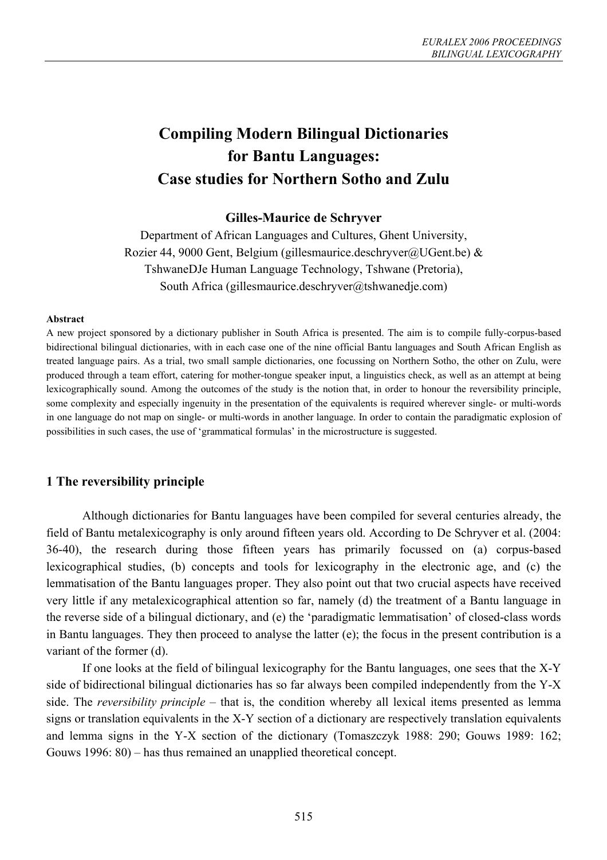# **Compiling Modern Bilingual Dictionaries for Bantu Languages: Case studies for Northern Sotho and Zulu**

## **Gilles-Maurice de Schryver**

Department of African Languages and Cultures, Ghent University, Rozier 44, 9000 Gent, Belgium (gillesmaurice.deschryver@UGent.be) & TshwaneDJe Human Language Technology, Tshwane (Pretoria), South Africa (gillesmaurice.deschryver@tshwanedje.com)

#### **Abstract**

A new project sponsored by a dictionary publisher in South Africa is presented. The aim is to compile fully-corpus-based bidirectional bilingual dictionaries, with in each case one of the nine official Bantu languages and South African English as treated language pairs. As a trial, two small sample dictionaries, one focussing on Northern Sotho, the other on Zulu, were produced through a team effort, catering for mother-tongue speaker input, a linguistics check, as well as an attempt at being lexicographically sound. Among the outcomes of the study is the notion that, in order to honour the reversibility principle, some complexity and especially ingenuity in the presentation of the equivalents is required wherever single- or multi-words in one language do not map on single- or multi-words in another language. In order to contain the paradigmatic explosion of possibilities in such cases, the use of 'grammatical formulas' in the microstructure is suggested.

## **1 The reversibility principle**

Although dictionaries for Bantu languages have been compiled for several centuries already, the field of Bantu metalexicography is only around fifteen years old. According to De Schryver et al. (2004: 36-40), the research during those fifteen years has primarily focussed on (a) corpus-based lexicographical studies, (b) concepts and tools for lexicography in the electronic age, and (c) the lemmatisation of the Bantu languages proper. They also point out that two crucial aspects have received very little if any metalexicographical attention so far, namely (d) the treatment of a Bantu language in the reverse side of a bilingual dictionary, and (e) the 'paradigmatic lemmatisation' of closed-class words in Bantu languages. They then proceed to analyse the latter (e); the focus in the present contribution is a variant of the former (d).

If one looks at the field of bilingual lexicography for the Bantu languages, one sees that the X-Y side of bidirectional bilingual dictionaries has so far always been compiled independently from the Y-X side. The *reversibility principle* – that is, the condition whereby all lexical items presented as lemma signs or translation equivalents in the X-Y section of a dictionary are respectively translation equivalents and lemma signs in the Y-X section of the dictionary (Tomaszczyk 1988: 290; Gouws 1989: 162; Gouws 1996: 80) – has thus remained an unapplied theoretical concept.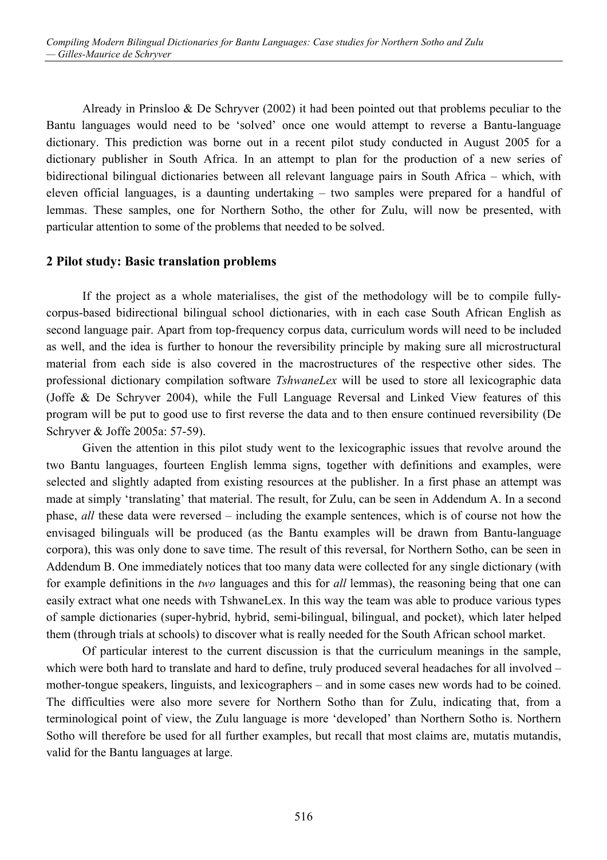Already in Prinsloo & De Schryver (2002) it had been pointed out that problems peculiar to the Bantu languages would need to be 'solved' once one would attempt to reverse a Bantu-language dictionary. This prediction was borne out in a recent pilot study conducted in August 2005 for a dictionary publisher in South Africa. In an attempt to plan for the production of a new series of bidirectional bilingual dictionaries between all relevant language pairs in South Africa – which, with eleven official languages, is a daunting undertaking – two samples were prepared for a handful of lemmas. These samples, one for Northern Sotho, the other for Zulu, will now be presented, with particular attention to some of the problems that needed to be solved.

## **2 Pilot study: Basic translation problems**

If the project as a whole materialises, the gist of the methodology will be to compile fullycorpus-based bidirectional bilingual school dictionaries, with in each case South African English as second language pair. Apart from top-frequency corpus data, curriculum words will need to be included as well, and the idea is further to honour the reversibility principle by making sure all microstructural material from each side is also covered in the macrostructures of the respective other sides. The professional dictionary compilation software *TshwaneLex* will be used to store all lexicographic data (Joffe & De Schryver 2004), while the Full Language Reversal and Linked View features of this program will be put to good use to first reverse the data and to then ensure continued reversibility (De Schryver & Joffe 2005a: 57-59).

Given the attention in this pilot study went to the lexicographic issues that revolve around the two Bantu languages, fourteen English lemma signs, together with definitions and examples, were selected and slightly adapted from existing resources at the publisher. In a first phase an attempt was made at simply 'translating' that material. The result, for Zulu, can be seen in Addendum A. In a second phase, *all* these data were reversed – including the example sentences, which is of course not how the envisaged bilinguals will be produced (as the Bantu examples will be drawn from Bantu-language corpora), this was only done to save time. The result of this reversal, for Northern Sotho, can be seen in Addendum B. One immediately notices that too many data were collected for any single dictionary (with for example definitions in the *two* languages and this for *all* lemmas), the reasoning being that one can easily extract what one needs with TshwaneLex. In this way the team was able to produce various types of sample dictionaries (super-hybrid, hybrid, semi-bilingual, bilingual, and pocket), which later helped them (through trials at schools) to discover what is really needed for the South African school market.

Of particular interest to the current discussion is that the curriculum meanings in the sample, which were both hard to translate and hard to define, truly produced several headaches for all involved – mother-tongue speakers, linguists, and lexicographers – and in some cases new words had to be coined. The difficulties were also more severe for Northern Sotho than for Zulu, indicating that, from a terminological point of view, the Zulu language is more 'developed' than Northern Sotho is. Northern Sotho will therefore be used for all further examples, but recall that most claims are, mutatis mutandis, valid for the Bantu languages at large.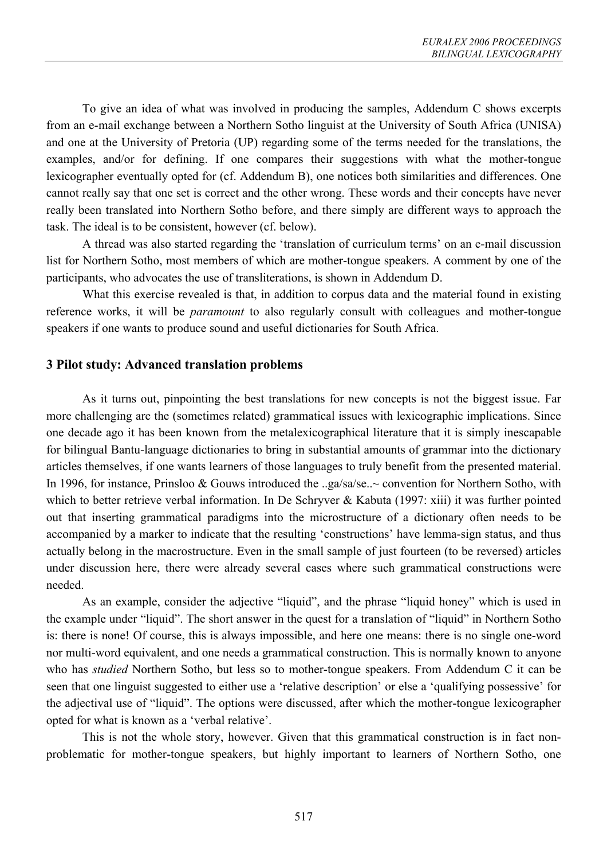To give an idea of what was involved in producing the samples, Addendum C shows excerpts from an e-mail exchange between a Northern Sotho linguist at the University of South Africa (UNISA) and one at the University of Pretoria (UP) regarding some of the terms needed for the translations, the examples, and/or for defining. If one compares their suggestions with what the mother-tongue lexicographer eventually opted for (cf. Addendum B), one notices both similarities and differences. One cannot really say that one set is correct and the other wrong. These words and their concepts have never really been translated into Northern Sotho before, and there simply are different ways to approach the task. The ideal is to be consistent, however (cf. below).

A thread was also started regarding the 'translation of curriculum terms' on an e-mail discussion list for Northern Sotho, most members of which are mother-tongue speakers. A comment by one of the participants, who advocates the use of transliterations, is shown in Addendum D.

What this exercise revealed is that, in addition to corpus data and the material found in existing reference works, it will be *paramount* to also regularly consult with colleagues and mother-tongue speakers if one wants to produce sound and useful dictionaries for South Africa.

## **3 Pilot study: Advanced translation problems**

As it turns out, pinpointing the best translations for new concepts is not the biggest issue. Far more challenging are the (sometimes related) grammatical issues with lexicographic implications. Since one decade ago it has been known from the metalexicographical literature that it is simply inescapable for bilingual Bantu-language dictionaries to bring in substantial amounts of grammar into the dictionary articles themselves, if one wants learners of those languages to truly benefit from the presented material. In 1996, for instance, Prinsloo & Gouws introduced the ..ga/sa/se..~ convention for Northern Sotho, with which to better retrieve verbal information. In De Schryver & Kabuta (1997: xiii) it was further pointed out that inserting grammatical paradigms into the microstructure of a dictionary often needs to be accompanied by a marker to indicate that the resulting 'constructions' have lemma-sign status, and thus actually belong in the macrostructure. Even in the small sample of just fourteen (to be reversed) articles under discussion here, there were already several cases where such grammatical constructions were needed.

As an example, consider the adjective "liquid", and the phrase "liquid honey" which is used in the example under "liquid". The short answer in the quest for a translation of "liquid" in Northern Sotho is: there is none! Of course, this is always impossible, and here one means: there is no single one-word nor multi-word equivalent, and one needs a grammatical construction. This is normally known to anyone who has *studied* Northern Sotho, but less so to mother-tongue speakers. From Addendum C it can be seen that one linguist suggested to either use a 'relative description' or else a 'qualifying possessive' for the adjectival use of "liquid". The options were discussed, after which the mother-tongue lexicographer opted for what is known as a 'verbal relative'.

This is not the whole story, however. Given that this grammatical construction is in fact nonproblematic for mother-tongue speakers, but highly important to learners of Northern Sotho, one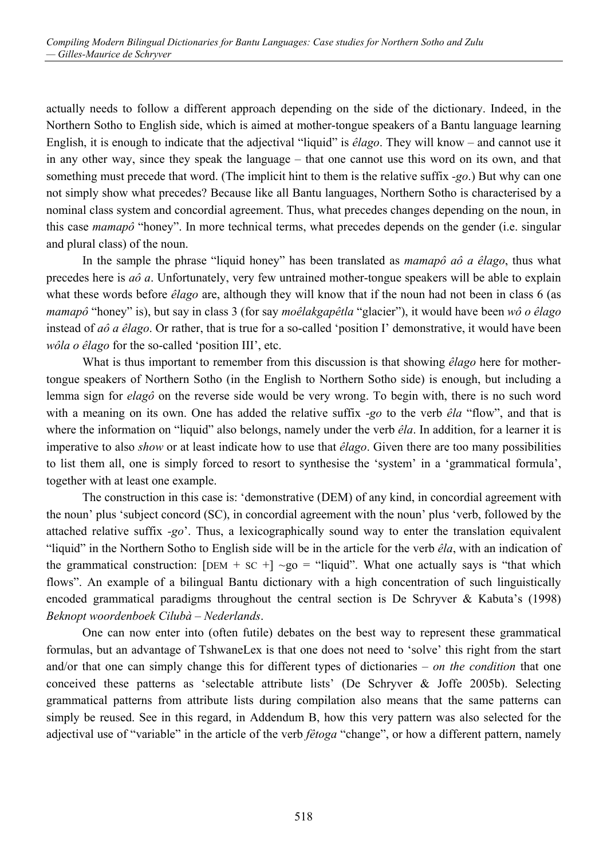actually needs to follow a different approach depending on the side of the dictionary. Indeed, in the Northern Sotho to English side, which is aimed at mother-tongue speakers of a Bantu language learning English, it is enough to indicate that the adjectival "liquid" is *êlago*. They will know – and cannot use it in any other way, since they speak the language – that one cannot use this word on its own, and that something must precede that word. (The implicit hint to them is the relative suffix *-go*.) But why can one not simply show what precedes? Because like all Bantu languages, Northern Sotho is characterised by a nominal class system and concordial agreement. Thus, what precedes changes depending on the noun, in this case *mamapô* "honey". In more technical terms, what precedes depends on the gender (i.e. singular and plural class) of the noun.

In the sample the phrase "liquid honey" has been translated as *mamapô aô a êlago*, thus what precedes here is *aô a*. Unfortunately, very few untrained mother-tongue speakers will be able to explain what these words before *êlago* are, although they will know that if the noun had not been in class 6 (as *mamapô* "honey" is), but say in class 3 (for say *moêlakgapêtla* "glacier"), it would have been *wô o êlago* instead of *aô a êlago*. Or rather, that is true for a so-called 'position I' demonstrative, it would have been *wôla o êlago* for the so-called 'position III', etc.

What is thus important to remember from this discussion is that showing *êlago* here for mothertongue speakers of Northern Sotho (in the English to Northern Sotho side) is enough, but including a lemma sign for *elagô* on the reverse side would be very wrong. To begin with, there is no such word with a meaning on its own. One has added the relative suffix *-go* to the verb *êla* "flow", and that is where the information on "liquid" also belongs, namely under the verb *êla*. In addition, for a learner it is imperative to also *show* or at least indicate how to use that *êlago*. Given there are too many possibilities to list them all, one is simply forced to resort to synthesise the 'system' in a 'grammatical formula', together with at least one example.

The construction in this case is: 'demonstrative (DEM) of any kind, in concordial agreement with the noun' plus 'subject concord (SC), in concordial agreement with the noun' plus 'verb, followed by the attached relative suffix *-go*'. Thus, a lexicographically sound way to enter the translation equivalent "liquid" in the Northern Sotho to English side will be in the article for the verb *êla*, with an indication of the grammatical construction:  $[DEM + SC +] \sim go =$  "liquid". What one actually says is "that which flows". An example of a bilingual Bantu dictionary with a high concentration of such linguistically encoded grammatical paradigms throughout the central section is De Schryver & Kabuta's (1998) *Beknopt woordenboek Cilubà – Nederlands*.

One can now enter into (often futile) debates on the best way to represent these grammatical formulas, but an advantage of TshwaneLex is that one does not need to 'solve' this right from the start and/or that one can simply change this for different types of dictionaries – *on the condition* that one conceived these patterns as 'selectable attribute lists' (De Schryver & Joffe 2005b). Selecting grammatical patterns from attribute lists during compilation also means that the same patterns can simply be reused. See in this regard, in Addendum B, how this very pattern was also selected for the adjectival use of "variable" in the article of the verb *fêtoga* "change", or how a different pattern, namely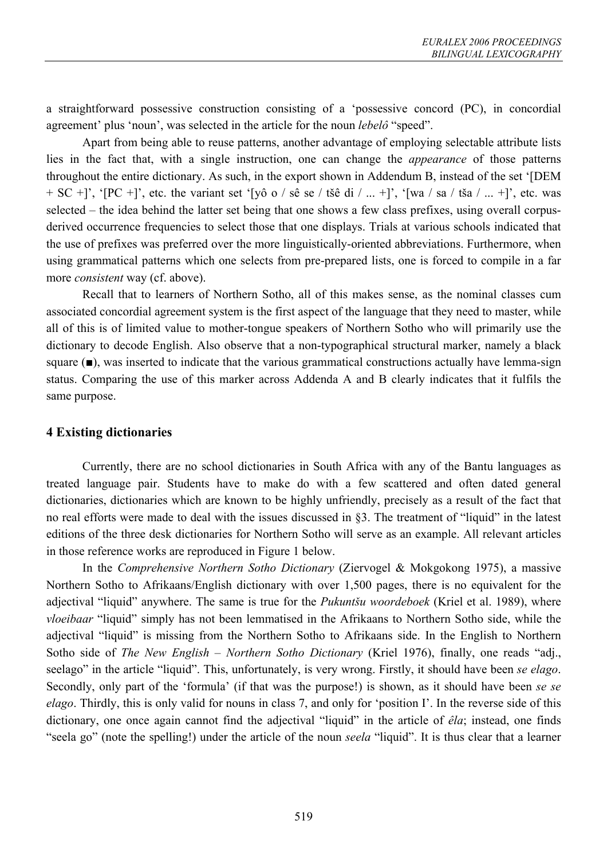a straightforward possessive construction consisting of a 'possessive concord (PC), in concordial agreement' plus 'noun', was selected in the article for the noun *lebelô* "speed".

Apart from being able to reuse patterns, another advantage of employing selectable attribute lists lies in the fact that, with a single instruction, one can change the *appearance* of those patterns throughout the entire dictionary. As such, in the export shown in Addendum B, instead of the set '[DEM  $+ SC +$ ]', '[PC +]', etc. the variant set '[yô o / sê se / tšê di / ... +]', '[wa / sa / tša / ... +]', etc. was selected – the idea behind the latter set being that one shows a few class prefixes, using overall corpusderived occurrence frequencies to select those that one displays. Trials at various schools indicated that the use of prefixes was preferred over the more linguistically-oriented abbreviations. Furthermore, when using grammatical patterns which one selects from pre-prepared lists, one is forced to compile in a far more *consistent* way (cf. above).

Recall that to learners of Northern Sotho, all of this makes sense, as the nominal classes cum associated concordial agreement system is the first aspect of the language that they need to master, while all of this is of limited value to mother-tongue speakers of Northern Sotho who will primarily use the dictionary to decode English. Also observe that a non-typographical structural marker, namely a black square ( $\blacksquare$ ), was inserted to indicate that the various grammatical constructions actually have lemma-sign status. Comparing the use of this marker across Addenda A and B clearly indicates that it fulfils the same purpose.

## **4 Existing dictionaries**

Currently, there are no school dictionaries in South Africa with any of the Bantu languages as treated language pair. Students have to make do with a few scattered and often dated general dictionaries, dictionaries which are known to be highly unfriendly, precisely as a result of the fact that no real efforts were made to deal with the issues discussed in §3. The treatment of "liquid" in the latest editions of the three desk dictionaries for Northern Sotho will serve as an example. All relevant articles in those reference works are reproduced in Figure 1 below.

In the *Comprehensive Northern Sotho Dictionary* (Ziervogel & Mokgokong 1975), a massive Northern Sotho to Afrikaans/English dictionary with over 1,500 pages, there is no equivalent for the adjectival "liquid" anywhere. The same is true for the *Pukuntšu woordeboek* (Kriel et al. 1989), where *vloeibaar* "liquid" simply has not been lemmatised in the Afrikaans to Northern Sotho side, while the adjectival "liquid" is missing from the Northern Sotho to Afrikaans side. In the English to Northern Sotho side of *The New English – Northern Sotho Dictionary* (Kriel 1976), finally, one reads "adj., seelago" in the article "liquid". This, unfortunately, is very wrong. Firstly, it should have been *se elago*. Secondly, only part of the 'formula' (if that was the purpose!) is shown, as it should have been *se se elago*. Thirdly, this is only valid for nouns in class 7, and only for 'position I'. In the reverse side of this dictionary, one once again cannot find the adjectival "liquid" in the article of *êla*; instead, one finds "seela go" (note the spelling!) under the article of the noun *seela* "liquid". It is thus clear that a learner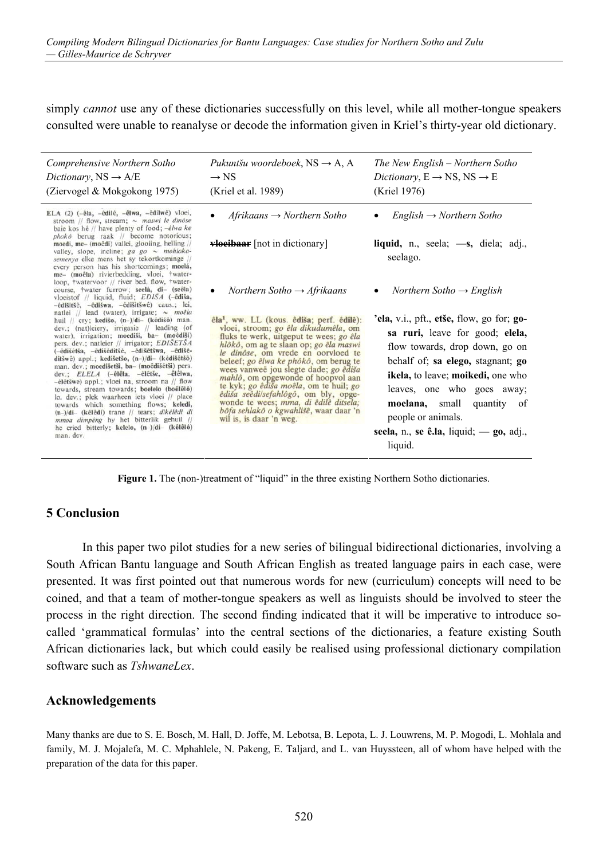simply *cannot* use any of these dictionaries successfully on this level, while all mother-tongue speakers consulted were unable to reanalyse or decode the information given in Kriel's thirty-year old dictionary.

| Pukuntšu woordeboek, $NS \rightarrow A$ , A<br>$\rightarrow$ NS<br>(Kriel et al. 1989)                                                                                                                                                                                                                                                                                                                                                                                                                                                                   | The New English – Northern Sotho<br>Dictionary, $E \rightarrow NS$ , $NS \rightarrow E$<br>(Kriel 1976)                                                                                                                                                                                                                                               |
|----------------------------------------------------------------------------------------------------------------------------------------------------------------------------------------------------------------------------------------------------------------------------------------------------------------------------------------------------------------------------------------------------------------------------------------------------------------------------------------------------------------------------------------------------------|-------------------------------------------------------------------------------------------------------------------------------------------------------------------------------------------------------------------------------------------------------------------------------------------------------------------------------------------------------|
| $Afrikaans \rightarrow Northern Sotho$                                                                                                                                                                                                                                                                                                                                                                                                                                                                                                                   | $English \rightarrow Northern Sotho$                                                                                                                                                                                                                                                                                                                  |
| <b>vloeibaar</b> [not in dictionary]                                                                                                                                                                                                                                                                                                                                                                                                                                                                                                                     | liquid, n., seela; $\rightarrow$ s, diela; adj.,<br>seelago.                                                                                                                                                                                                                                                                                          |
| Northern Sotho $\rightarrow$ Afrikaans                                                                                                                                                                                                                                                                                                                                                                                                                                                                                                                   | Northern Sotho $\rightarrow$ English                                                                                                                                                                                                                                                                                                                  |
| êla <sup>1</sup> , ww. LL (kous. êdiša; perf. êdilê):<br>vloei, stroom; go êla dikudumêla, om<br>fluks te werk, uitgeput te wees; go êla<br>hlôkô, om ag te slaan op; go êla maswi<br>le dinôse, om vrede en oorvloed te<br>beleef; go êlwa ke phôkô, om berug te<br>wees vanweë jou slegte dade; go êdiša<br>mahlô, om opgewonde of hoopvol aan<br>te kyk; go êdiša moêla, om te huil; go<br><i>êdiša seêdilsefahlôgô</i> , om bly, opge-<br>wonde te wees; mma, di êdilê ditsela;<br>bôfa sehlakô o kgwahlišê, waar daar 'n<br>wil is, is daar 'n weg. | 'ela, v.i., pft., etše, flow, go for; $go-$<br>sa ruri, leave for good; elela,<br>flow towards, drop down, go on<br>behalf of; sa elego, stagnant; go<br><b>ikela</b> , to leave; <b>moikedi</b> , one who<br>leaves, one who goes away;<br>moelana, small<br>quantity of<br>people or animals.<br>seela, n., se ê.la, liquid; — go, adj.,<br>liquid. |
|                                                                                                                                                                                                                                                                                                                                                                                                                                                                                                                                                          |                                                                                                                                                                                                                                                                                                                                                       |

Figure 1. The (non-)treatment of "liquid" in the three existing Northern Sotho dictionaries.

## **5 Conclusion**

In this paper two pilot studies for a new series of bilingual bidirectional dictionaries, involving a South African Bantu language and South African English as treated language pairs in each case, were presented. It was first pointed out that numerous words for new (curriculum) concepts will need to be coined, and that a team of mother-tongue speakers as well as linguists should be involved to steer the process in the right direction. The second finding indicated that it will be imperative to introduce socalled 'grammatical formulas' into the central sections of the dictionaries, a feature existing South African dictionaries lack, but which could easily be realised using professional dictionary compilation software such as *TshwaneLex*.

## **Acknowledgements**

Many thanks are due to S. E. Bosch, M. Hall, D. Joffe, M. Lebotsa, B. Lepota, L. J. Louwrens, M. P. Mogodi, L. Mohlala and family, M. J. Mojalefa, M. C. Mphahlele, N. Pakeng, E. Taljard, and L. van Huyssteen, all of whom have helped with the preparation of the data for this paper.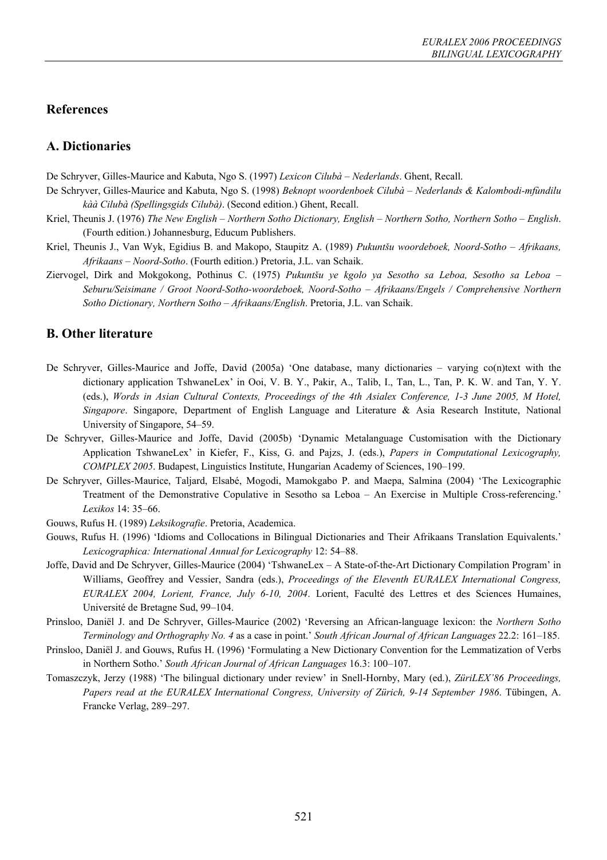## **References**

## **A. Dictionaries**

De Schryver, Gilles-Maurice and Kabuta, Ngo S. (1997) *Lexicon Cilubà – Nederlands*. Ghent, Recall.

- De Schryver, Gilles-Maurice and Kabuta, Ngo S. (1998) *Beknopt woordenboek Cilubà Nederlands & Kalombodi-mfùndilu kàà Cilubà (Spellingsgids Cilubà)*. (Second edition.) Ghent, Recall.
- Kriel, Theunis J. (1976) *The New English Northern Sotho Dictionary, English Northern Sotho, Northern Sotho English*. (Fourth edition.) Johannesburg, Educum Publishers.
- Kriel, Theunis J., Van Wyk, Egidius B. and Makopo, Staupitz A. (1989) *Pukuntšu woordeboek, Noord-Sotho Afrikaans, Afrikaans – Noord-Sotho*. (Fourth edition.) Pretoria, J.L. van Schaik.
- Ziervogel, Dirk and Mokgokong, Pothinus C. (1975) *Pukuntšu ye kgolo ya Sesotho sa Leboa, Sesotho sa Leboa Seburu/Seisimane / Groot Noord-Sotho-woordeboek, Noord-Sotho – Afrikaans/Engels / Comprehensive Northern Sotho Dictionary, Northern Sotho – Afrikaans/English*. Pretoria, J.L. van Schaik.

## **B. Other literature**

- De Schryver, Gilles-Maurice and Joffe, David (2005a) 'One database, many dictionaries varying co(n)text with the dictionary application TshwaneLex' in Ooi, V. B. Y., Pakir, A., Talib, I., Tan, L., Tan, P. K. W. and Tan, Y. Y. (eds.), *Words in Asian Cultural Contexts, Proceedings of the 4th Asialex Conference, 1-3 June 2005, M Hotel, Singapore*. Singapore, Department of English Language and Literature & Asia Research Institute, National University of Singapore, 54–59.
- De Schryver, Gilles-Maurice and Joffe, David (2005b) 'Dynamic Metalanguage Customisation with the Dictionary Application TshwaneLex' in Kiefer, F., Kiss, G. and Pajzs, J. (eds.), *Papers in Computational Lexicography, COMPLEX 2005*. Budapest, Linguistics Institute, Hungarian Academy of Sciences, 190–199.
- De Schryver, Gilles-Maurice, Taljard, Elsabé, Mogodi, Mamokgabo P. and Maepa, Salmina (2004) 'The Lexicographic Treatment of the Demonstrative Copulative in Sesotho sa Leboa – An Exercise in Multiple Cross-referencing.' *Lexikos* 14: 35–66.
- Gouws, Rufus H. (1989) *Leksikografie*. Pretoria, Academica.
- Gouws, Rufus H. (1996) 'Idioms and Collocations in Bilingual Dictionaries and Their Afrikaans Translation Equivalents.' *Lexicographica: International Annual for Lexicography* 12: 54–88.
- Joffe, David and De Schryver, Gilles-Maurice (2004) 'TshwaneLex A State-of-the-Art Dictionary Compilation Program' in Williams, Geoffrey and Vessier, Sandra (eds.), *Proceedings of the Eleventh EURALEX International Congress, EURALEX 2004, Lorient, France, July 6-10, 2004*. Lorient, Faculté des Lettres et des Sciences Humaines, Université de Bretagne Sud, 99–104.
- Prinsloo, Daniël J. and De Schryver, Gilles-Maurice (2002) 'Reversing an African-language lexicon: the *Northern Sotho Terminology and Orthography No. 4* as a case in point.' *South African Journal of African Languages* 22.2: 161–185.
- Prinsloo, Daniël J. and Gouws, Rufus H. (1996) 'Formulating a New Dictionary Convention for the Lemmatization of Verbs in Northern Sotho.' *South African Journal of African Languages* 16.3: 100–107.
- Tomaszczyk, Jerzy (1988) 'The bilingual dictionary under review' in Snell-Hornby, Mary (ed.), *ZüriLEX'86 Proceedings, Papers read at the EURALEX International Congress, University of Zürich, 9-14 September 1986*. Tübingen, A. Francke Verlag, 289–297.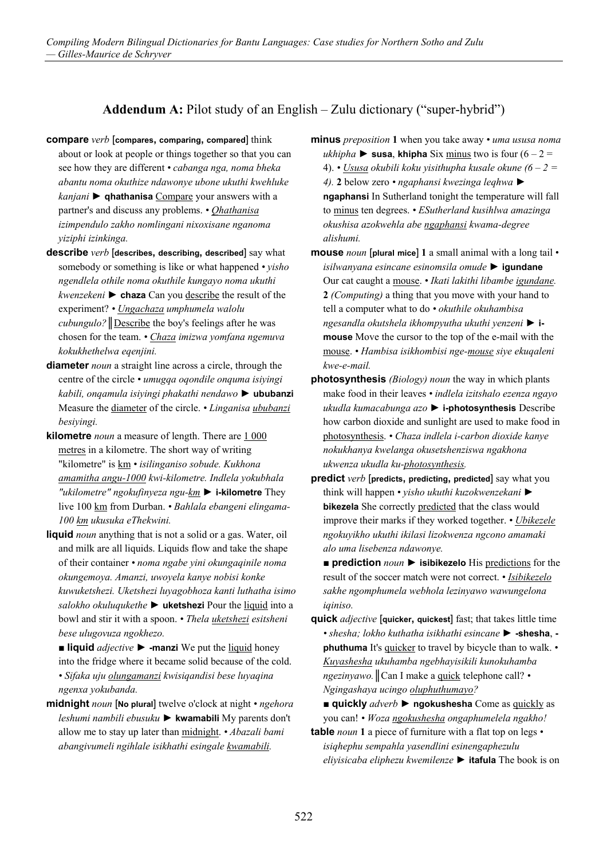## **Addendum A:** Pilot study of an English – Zulu dictionary ("super-hybrid")

- **compare** *verb* [**compares, comparing, compared**] think about or look at people or things together so that you can see how they are different *• cabanga nga, noma bheka abantu noma okuthize ndawonye ubone ukuthi kwehluke kanjani* ► **qhathanisa** Compare your answers with a partner's and discuss any problems. *• Qhathanisa izimpendulo zakho nomlingani nixoxisane nganoma yiziphi izinkinga.*
- **describe** *verb* [**describes, describing, described**] say what somebody or something is like or what happened *• yisho ngendlela othile noma okuthile kungayo noma ukuthi kwenzekeni* ► **chaza** Can you describe the result of the experiment? *• Ungachaza umphumela walolu cubungulo?*║Describe the boy's feelings after he was chosen for the team. *• Chaza imizwa yomfana ngemuva kokukhethelwa eqenjini.*
- **diameter** *noun* a straight line across a circle, through the centre of the circle *• umugqa oqondile onquma isiyingi kabili, onqamula isiyingi phakathi nendawo* ► **ububanzi** Measure the diameter of the circle. *• Linganisa ububanzi besiyingi.*
- **kilometre** *noun* a measure of length. There are 1 000 metres in a kilometre. The short way of writing "kilometre" is km *• isilinganiso sobude. Kukhona amamitha angu-1000 kwi-kilometre. Indlela yokubhala "ukilometre" ngokufinyeza ngu-km* ► **i-kilometre** They live 100 km from Durban. *• Bahlala ebangeni elingama-100 km ukusuka eThekwini.*
- **liquid** *noun* anything that is not a solid or a gas. Water, oil and milk are all liquids. Liquids flow and take the shape of their container *• noma ngabe yini okungaqinile noma okungemoya. Amanzi, uwoyela kanye nobisi konke kuwuketshezi. Uketshezi luyagobhoza kanti luthatha isimo salokho okuluqukethe* ► **uketshezi** Pour the liquid into a bowl and stir it with a spoon. *• Thela uketshezi esitsheni bese ulugovuza ngokhezo.*

■ **liquid** *adjective* ► **-manzi** We put the <u>liquid</u> honey into the fridge where it became solid because of the cold. *• Sifaka uju olungamanzi kwisiqandisi bese luyaqina ngenxa yokubanda.*

**midnight** *noun* [**No plural**] twelve o'clock at night *• ngehora leshumi nambili ebusuku* ► **kwamabili** My parents don't allow me to stay up later than midnight. *• Abazali bami abangivumeli ngihlale isikhathi esingale kwamabili.*

**minus** *preposition* **1** when you take away *• uma ususa noma*   $ukhipha$  ► susa, khipha Six minus two is four  $(6 - 2 = 1)$ 4). *• Ususa okubili koku yisithupha kusale okune (6 – 2 = 4).* **2** below zero *• ngaphansi kwezinga leqhwa* ► **ngaphansi** In Sutherland tonight the temperature will fall to minus ten degrees. *• ESutherland kusihlwa amazinga okushisa azokwehla abe ngaphansi kwama-degree alishumi.*

- **mouse** *noun* [**plural mice**] **1** a small animal with a long tail *isilwanyana esincane esinomsila omude* ► **igundane** Our cat caught a mouse. *• Ikati lakithi libambe igundane.* **2** *(Computing)* a thing that you move with your hand to tell a computer what to do *• okuthile okuhambisa ngesandla okutshela ikhompyutha ukuthi yenzeni* ► **imouse** Move the cursor to the top of the e-mail with the mouse. *• Hambisa isikhombisi nge-mouse siye ekuqaleni kwe-e-mail.*
- **photosynthesis** *(Biology) noun* the way in which plants make food in their leaves *• indlela izitshalo ezenza ngayo ukudla kumacabunga azo* ► **i-photosynthesis** Describe how carbon dioxide and sunlight are used to make food in photosynthesis. *• Chaza indlela i-carbon dioxide kanye nokukhanya kwelanga okusetshenziswa ngakhona ukwenza ukudla ku-photosynthesis.*
- **predict** *verb* [**predicts, predicting, predicted**] say what you think will happen *• yisho ukuthi kuzokwenzekani* ► **bikezela** She correctly predicted that the class would improve their marks if they worked together. *• Ubikezele ngokuyikho ukuthi ikilasi lizokwenza ngcono amamaki alo uma lisebenza ndawonye.* 
	- **prediction** *noun* ▶ **isibikezelo** His predictions for the result of the soccer match were not correct. *• Isibikezelo sakhe ngomphumela webhola lezinyawo wawungelona iqiniso.*

**quick** *adjective* [**quicker, quickest**] fast; that takes little time *• shesha; lokho kuthatha isikhathi esincane* ► **-shesha**,  **phuthuma** It's quicker to travel by bicycle than to walk. *• Kuyashesha ukuhamba ngebhayisikili kunokuhamba ngezinyawo.*║Can I make a quick telephone call? *• Ngingashaya ucingo oluphuthumayo?*

■ **quickly** *adverb* ► **ngokushesha** Come as quickly as you can! *• Woza ngokushesha ongaphumelela ngakho!*

**table** *noun* **1** a piece of furniture with a flat top on legs *• isiqhephu sempahla yasendlini esinengaphezulu eliyisicaba eliphezu kwemilenze* ► **itafula** The book is on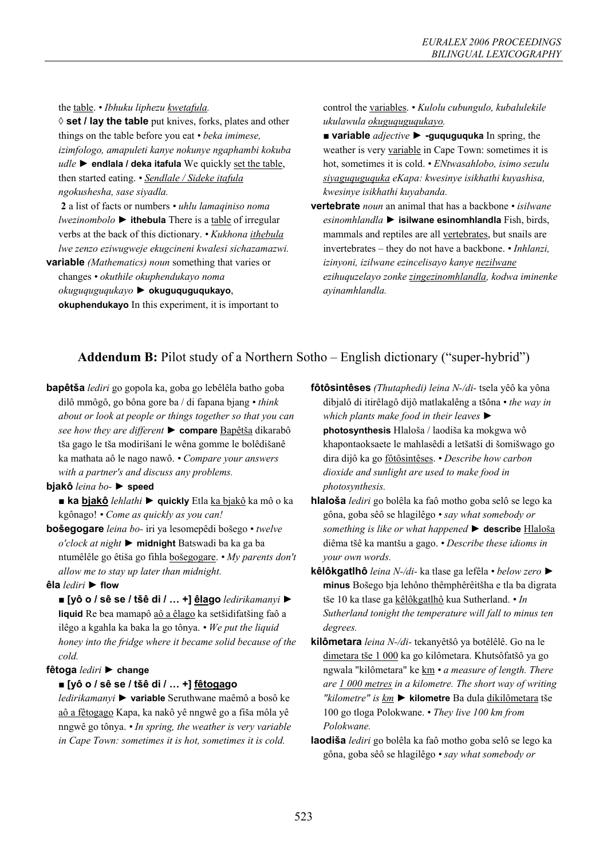the table. *• Ibhuku liphezu kwetafula.*

**◊ set / lay the table** put knives, forks, plates and other things on the table before you eat *• beka imimese, izimfologo, amapuleti kanye nokunye ngaphambi kokuba udle* ► **endlala / deka itafula** We quickly set the table, then started eating. *• Sendlale / Sideke itafula ngokushesha, sase siyadla.*

**2** a list of facts or numbers *• uhlu lamaqiniso noma lwezinombolo* ► **ithebula** There is a table of irregular verbs at the back of this dictionary. *• Kukhona ithebula lwe zenzo eziwugweje ekugcineni kwalesi sichazamazwi.*

**variable** *(Mathematics) noun* something that varies or changes *• okuthile okuphendukayo noma okuguquguqukayo* ► **okuguquguqukayo**, **okuphendukayo** In this experiment, it is important to control the variables. *• Kulolu cubungulo, kubalulekile ukulawula okuguquguqukayo.*

- **variable** *adjective* ► **-guquguquka** In spring, the weather is very variable in Cape Town: sometimes it is hot, sometimes it is cold. *• ENtwasahlobo, isimo sezulu siyaguquguquka eKapa: kwesinye isikhathi kuyashisa, kwesinye isikhathi kuyabanda.*
- **vertebrate** *noun* an animal that has a backbone *isilwane esinomhlandla* ► **isilwane esinomhlandla** Fish, birds, mammals and reptiles are all vertebrates, but snails are invertebrates – they do not have a backbone. *• Inhlanzi, izinyoni, izilwane ezincelisayo kanye nezilwane ezihuquzelayo zonke zingezinomhlandla, kodwa iminenke ayinamhlandla.*

# **Addendum B:** Pilot study of a Northern Sotho – English dictionary ("super-hybrid")

**bapêtša** *lediri* go gopola ka, goba go lebêlêla batho goba dilô mmôgô, go bôna gore ba / di fapana bjang *• think about or look at people or things together so that you can see how they are different* ► **compare** Bapêtša dikarabô tša gago le tša modirišani le wêna gomme le bolêdišanê ka mathata aô le nago nawô. *• Compare your answers with a partner's and discuss any problems.*

#### **bjakô** *leina bo-* ► **speed**

#### **■ ka bjakô** *lehlathi* ► **quickly** Etla ka bjakô ka mô o ka kgônago! *• Come as quickly as you can!*

**bošegogare** *leina bo-* iri ya lesomepêdi bošego *• twelve o'clock at night* ► **midnight** Batswadi ba ka ga ba ntumêlêle go êtiša go fihla bošegogare. *• My parents don't allow me to stay up later than midnight.*

#### **êla** *lediri* ► **flow**

■ **[yô o / sê se / tšê di / … +] êlago** *ledirikamanyi* ► **liquid** Re bea mamapô aô a êlago ka setšidifatšing faô a ilêgo a kgahla ka baka la go tônya. *• We put the liquid honey into the fridge where it became solid because of the cold.*

#### **fêtoga** *lediri* ► **change**

#### ■ **[yô o / sê se / tšê di / … +] fêtogago**

*ledirikamanyi* ► **variable** Seruthwane maêmô a bosô ke aô a fêtogago Kapa, ka nakô yê nngwê go a fiša môla yê nngwê go tônya. *• In spring, the weather is very variable in Cape Town: sometimes it is hot, sometimes it is cold.*

- **fôtôsintêses** *(Thutaphedi) leina N-/di-* tsela yêô ka yôna dibjalô di itirêlagô dijô matlakalêng a tšôna *• the way in which plants make food in their leaves* ► **photosynthesis** Hlaloša / laodiša ka mokgwa wô khapontaoksaete le mahlasêdi a letšatši di šomišwago go dira dijô ka go fôtôsintêses. *• Describe how carbon dioxide and sunlight are used to make food in photosynthesis.*
- **hlaloša** *lediri* go bolêla ka faô motho goba selô se lego ka gôna, goba sêô se hlagilêgo *• say what somebody or something is like or what happened* ► **describe** Hlaloša diêma tšê ka mantšu a gago. *• Describe these idioms in your own words.*
- **kêlôkgatlhô** *leina N-/di-* ka tlase ga lefêla *below zero* ► **minus** Bošego bja lehôno thêmphêrêitšha e tla ba digrata tše 10 ka tlase ga kêlôkgatlhô kua Sutherland. *• In Sutherland tonight the temperature will fall to minus ten degrees.*
- **kilômetara** *leina N-/di-* tekanyêtšô ya botêlêlê. Go na le dimetara tše 1 000 ka go kilômetara. Khutsôfatšô ya go ngwala "kilômetara" ke km *• a measure of length. There are 1 000 metres in a kilometre. The short way of writing "kilometre" is km* ► **kilometre** Ba dula dikilômetara tše 100 go tloga Polokwane. *• They live 100 km from Polokwane.*
- **laodiša** *lediri* go bolêla ka faô motho goba selô se lego ka gôna, goba sêô se hlagilêgo *• say what somebody or*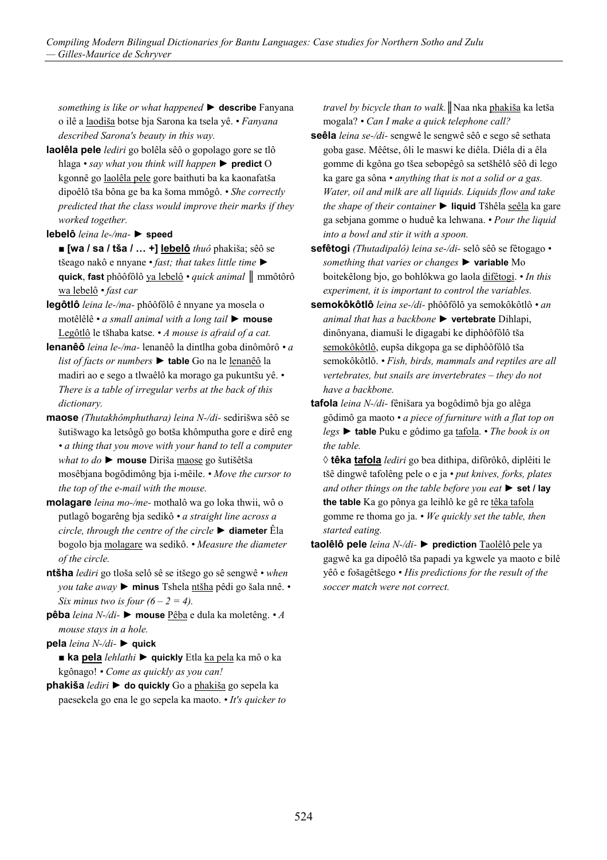*something is like or what happened* ► **describe** Fanyana o ilê a laodiša botse bja Sarona ka tsela yê. *• Fanyana described Sarona's beauty in this way.*

- **laolêla pele** *lediri* go bolêla sêô o gopolago gore se tlô hlaga *• say what you think will happen* ► **predict** O kgonnê go laolêla pele gore baithuti ba ka kaonafatša dipoêlô tša bôna ge ba ka šoma mmôgô. *• She correctly predicted that the class would improve their marks if they worked together.*
- **lebelô** *leina le-/ma-* ► **speed**
	- **[wa / sa / tša / … +] lebelô** *thuô* phakiša; sêô se tšeago nakô e nnyane *• fast; that takes little time* ► **quick**, **fast** phôôfôlô ya lebelô *• quick animal* ║ mmôtôrô wa lebelô *• fast car*
- **legôtlô** *leina le-/ma-* phôôfôlô ê nnyane ya mosela o motêlêlê *• a small animal with a long tail* ► **mouse** Legôtlô le tšhaba katse. *• A mouse is afraid of a cat.*
- **lenanêô** *leina le-/ma-* lenanêô la dintlha goba dinômôrô *a list of facts or numbers* ► **table** Go na le lenanêô la madiri ao e sego a tlwaêlô ka morago ga pukuntšu yê. *• There is a table of irregular verbs at the back of this dictionary.*
- **maose** *(Thutakhômphuthara) leina N-/di-* sedirišwa sêô se šutišwago ka letsôgô go botša khômputha gore e dirê eng *• a thing that you move with your hand to tell a computer what to do* ► **mouse** Diriša maose go šutišêtša mosêbjana bogôdimông bja i-mêile. *• Move the cursor to the top of the e-mail with the mouse.*
- **molagare** *leina mo-/me-* mothalô wa go loka thwii, wô o putlagô bogarêng bja sedikô *• a straight line across a circle, through the centre of the circle* ► **diameter** Êla bogolo bja molagare wa sedikô. *• Measure the diameter of the circle.*
- **ntšha** *lediri* go tloša selô sê se itšego go sê sengwê *when you take away* ► **minus** Tshela ntšha pêdi go šala nnê. *• Six minus two is four*  $(6 - 2 = 4)$ *.*
- **pêba** *leina N-/di-* ► **mouse** Pêba e dula ka moletêng. *A mouse stays in a hole.*

**pela** *leina N-/di-* ► **quick**

**■ ka pela** *lehlathi* ► **quickly** Etla ka pela ka mô o ka kgônago! *• Come as quickly as you can!*

**phakiša** *lediri* ► **do quickly** Go a phakiša go sepela ka paesekela go ena le go sepela ka maoto. *• It's quicker to*  *travel by bicycle than to walk.*║Naa nka phakiša ka letša mogala? *• Can I make a quick telephone call?*

- **seêla** *leina se-/di-* sengwê le sengwê sêô e sego sê sethata goba gase. Mêêtse, ôli le maswi ke diêla. Diêla di a êla gomme di kgôna go tšea sebopêgô sa setšhêlô sêô di lego ka gare ga sôna *• anything that is not a solid or a gas. Water, oil and milk are all liquids. Liquids flow and take the shape of their container* ► liquid Tšhêla seêla ka gare ga sebjana gomme o huduê ka lehwana. *• Pour the liquid into a bowl and stir it with a spoon.*
- **sefêtogi** *(Thutadipalô) leina se-/di-* selô sêô se fêtogago *something that varies or changes* ► **variable** Mo boitekêlong bjo, go bohlôkwa go laola difêtogi. *• In this experiment, it is important to control the variables.*
- **semokôkôtlô** *leina se-/di-* phôôfôlô ya semokôkôtlô *an animal that has a backbone* ► **vertebrate** Dihlapi, dinônyana, diamuši le digagabi ke diphôôfôlô tša semokôkôtlô, eupša dikgopa ga se diphôôfôlô tša semokôkôtlô. *• Fish, birds, mammals and reptiles are all vertebrates, but snails are invertebrates – they do not have a backbone.*
- **tafola** *leina N-/di-* fênišara ya bogôdimô bja go alêga gôdimô ga maoto *• a piece of furniture with a flat top on legs* ► **table** Puku e gôdimo ga tafola. *• The book is on the table.*
	- **◊ têka tafola** *lediri* go bea dithipa, difôrôkô, diplêiti le tšê dingwê tafolêng pele o e ja *• put knives, forks, plates and other things on the table before you eat* ► **set / lay the table** Ka go pônya ga leihlô ke gê re têka tafola gomme re thoma go ja. *• We quickly set the table, then started eating.*
- **taolêlô pele** *leina N-/di-* ► **prediction** Taolêlô pele ya gagwê ka ga dipoêlô tša papadi ya kgwele ya maoto e bilê yêô e fošagêtšego *• His predictions for the result of the soccer match were not correct.*